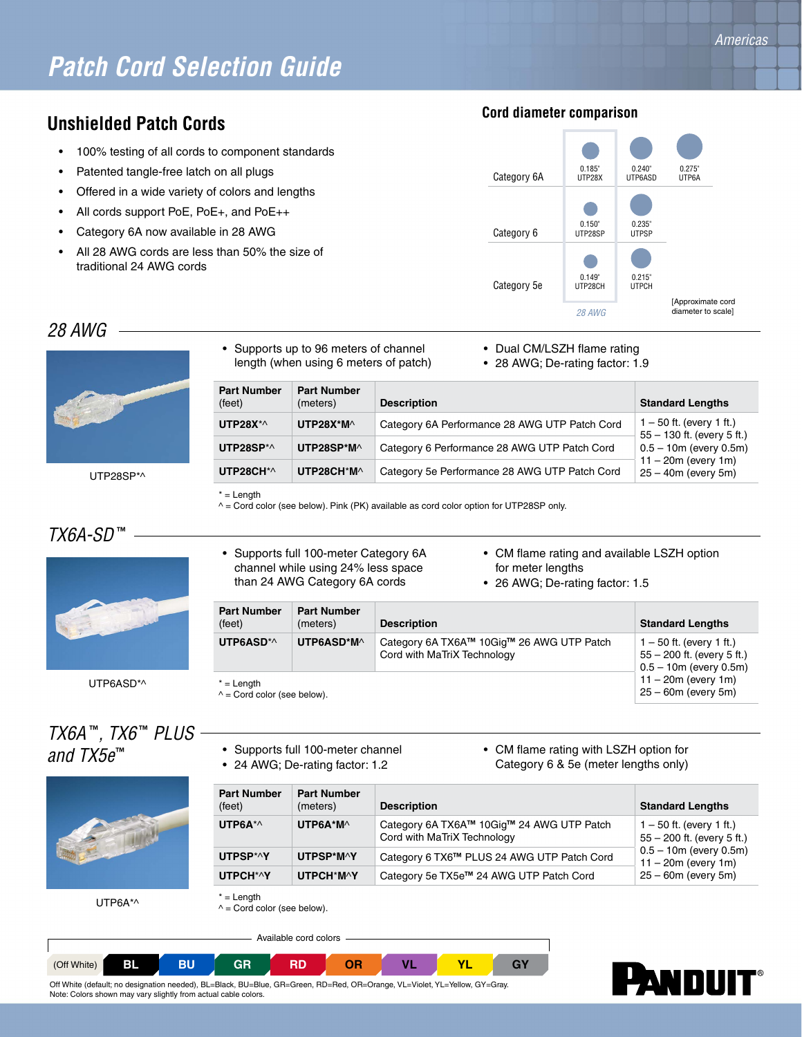## *Patch Cord Selection Guide*

#### **Unshielded Patch Cords**

- 100% testing of all cords to component standards
- Patented tangle-free latch on all plugs
- Offered in a wide variety of colors and lengths
- All cords support PoE, PoE+, and PoE++
- Category 6A now available in 28 AWG
- All 28 AWG cords are less than 50% the size of traditional 24 AWG cords

#### **Cord diameter comparison**



#### *28 AWG*



UTP28SP\*^

- Supports up to 96 meters of channel length (when using 6 meters of patch)
- Dual CM/LSZH flame rating
- 28 AWG; De-rating factor: 1.9

| <b>Part Number</b><br>(feet) | <b>Part Number</b><br>(meters) | <b>Description</b>                            | <b>Standard Lengths</b>                                                    |
|------------------------------|--------------------------------|-----------------------------------------------|----------------------------------------------------------------------------|
| UTP28 $X^{\star}$            | $UTP28X*M \wedge$              | Category 6A Performance 28 AWG UTP Patch Cord | $1 - 50$ ft. (every 1 ft.)<br>$55 - 130$ ft. (every 5 ft.)                 |
| UTP28SP*^                    | UTP28SP*M^                     | Category 6 Performance 28 AWG UTP Patch Cord  | $0.5 - 10m$ (every 0.5m)<br>$11 - 20m$ (every 1m)<br>$25 - 40m$ (every 5m) |
| UTP28CH*^                    | UTP28CH*M^                     | Category 5e Performance 28 AWG UTP Patch Cord |                                                                            |

 $* =$  Length

 $^{\wedge}$  = Cord color (see below). Pink (PK) available as cord color option for UTP28SP only.

### *TX6A-SD* **™**



• Supports full 100-meter Category 6A channel while using 24% less space than 24 AWG Category 6A cords

• Supports full 100-meter channel • 24 AWG; De-rating factor: 1.2

- CM flame rating and available LSZH option for meter lengths
- 26 AWG; De-rating factor: 1.5

• CM flame rating with LSZH option for Category 6 & 5e (meter lengths only)

| <b>Part Number</b><br>(feet)                       | <b>Part Number</b><br>(meters) | <b>Description</b>                                                       | <b>Standard Lengths</b>                                                                   |
|----------------------------------------------------|--------------------------------|--------------------------------------------------------------------------|-------------------------------------------------------------------------------------------|
| UTP6ASD*^                                          | UTP6ASD*M^                     | Category 6A TX6A™ 10Gig™ 26 AWG UTP Patch<br>Cord with MaTriX Technology | $1 - 50$ ft. (every 1 ft.)<br>$55 - 200$ ft. (every 5 ft.)<br>$0.5 - 10m$ (every $0.5m$ ) |
| $* =$ Length<br>$\wedge$ = Cord color (see below). |                                |                                                                          | $11 - 20m$ (every 1m)<br>$25 - 60m$ (every 5m)                                            |

# *TX6A* **™***, TX6* **™** *PLUS*

*and TX5e***™**



UTP6A\*^

**Part Number** (feet) **Part Number** (meters) **Description Description Standard Lengths UTP6A**\*^ **UTP6A\*M**^ Category 6A TX6A**™** 10Gig**™** 24 AWG UTP Patch Cord with MaTriX Technology 1 – 50 ft. (every 1 ft.) 55 – 200 ft. (every 5 ft.) 0.5 – 10m (every 0.5m) 11 – 20m (every 1m) 25 – 60m (every 5m) **UTPSP**\*^**Y UTPSP\*M**^**Y** Category 6 TX6**™** PLUS 24 AWG UTP Patch Cord **UTPCH**\*^**Y UTPCH**\***M**^**Y** Category 5e TX5e**™** 24 AWG UTP Patch Cord

 $^{\wedge}$  = Cord color (see below).

Available cord colors





 $* =$  Length